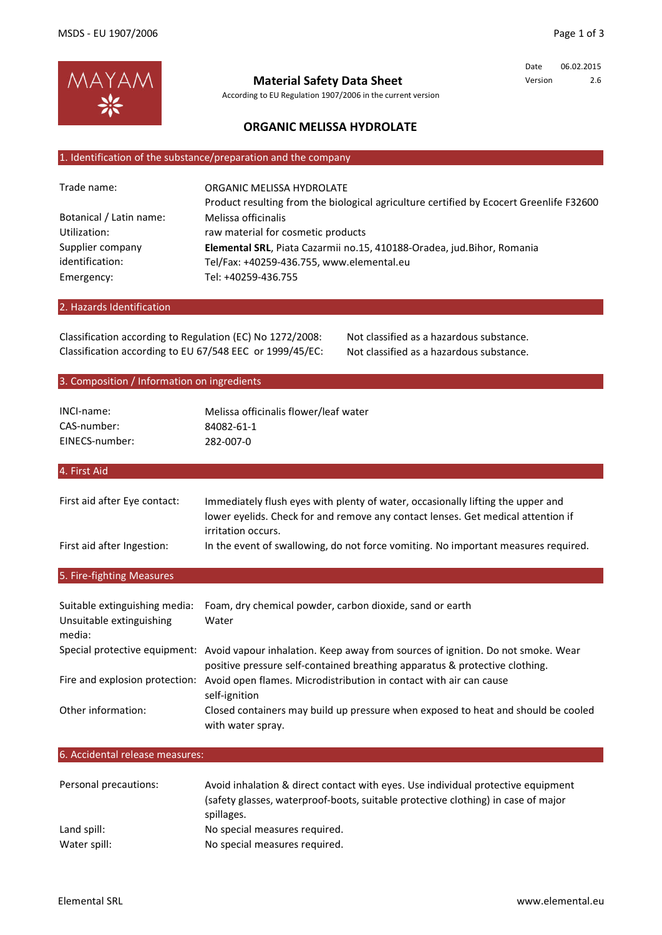

According to EU Regulation 1907/2006 in the current version **Material Safety Data Sheet**

Date 06.02.2015 Version 2.6

# **ORGANIC MELISSA HYDROLATE**

## 1. Identification of the substance/preparation and the company

| Trade name:             | ORGANIC MELISSA HYDROLATE                                                               |
|-------------------------|-----------------------------------------------------------------------------------------|
|                         | Product resulting from the biological agriculture certified by Ecocert Greenlife F32600 |
| Botanical / Latin name: | Melissa officinalis                                                                     |
| Utilization:            | raw material for cosmetic products                                                      |
| Supplier company        | Elemental SRL, Piata Cazarmii no.15, 410188-Oradea, jud.Bihor, Romania                  |
| identification:         | Tel/Fax: +40259-436.755, www.elemental.eu                                               |
| Emergency:              | Tel: +40259-436.755                                                                     |
|                         |                                                                                         |

## 2. Hazards Identification

Classification according to Regulation (EC) No 1272/2008: Not classified as a hazardous substance. Classification according to EU 67/548 EEC or 1999/45/EC: Not classified as a hazardous substance.

## 3. Composition / Information on ingredients

| INCI-name:     | Melissa officinalis flower/leaf water |
|----------------|---------------------------------------|
| CAS-number:    | 84082-61-1                            |
| EINECS-number: | 282-007-0                             |

# 4. First Aid

| First aid after Eye contact: | Immediately flush eyes with plenty of water, occasionally lifting the upper and<br>lower eyelids. Check for and remove any contact lenses. Get medical attention if |
|------------------------------|---------------------------------------------------------------------------------------------------------------------------------------------------------------------|
|                              | irritation occurs.                                                                                                                                                  |
| First aid after Ingestion:   | In the event of swallowing, do not force vomiting. No important measures required.                                                                                  |

# 5. Fire-fighting Measures

| Suitable extinguishing media:<br>Unsuitable extinguishing<br>media: | Foam, dry chemical powder, carbon dioxide, sand or earth<br>Water                                                                                                                            |
|---------------------------------------------------------------------|----------------------------------------------------------------------------------------------------------------------------------------------------------------------------------------------|
|                                                                     | Special protective equipment: Avoid vapour inhalation. Keep away from sources of ignition. Do not smoke. Wear<br>positive pressure self-contained breathing apparatus & protective clothing. |
| Fire and explosion protection:                                      | Avoid open flames. Microdistribution in contact with air can cause<br>self-ignition                                                                                                          |
| Other information:                                                  | Closed containers may build up pressure when exposed to heat and should be cooled<br>with water spray.                                                                                       |

## 6. Accidental release measures:

| Personal precautions: | Avoid inhalation & direct contact with eyes. Use individual protective equipment<br>(safety glasses, waterproof-boots, suitable protective clothing) in case of major<br>spillages. |
|-----------------------|-------------------------------------------------------------------------------------------------------------------------------------------------------------------------------------|
| Land spill:           | No special measures required.                                                                                                                                                       |
| Water spill:          | No special measures required.                                                                                                                                                       |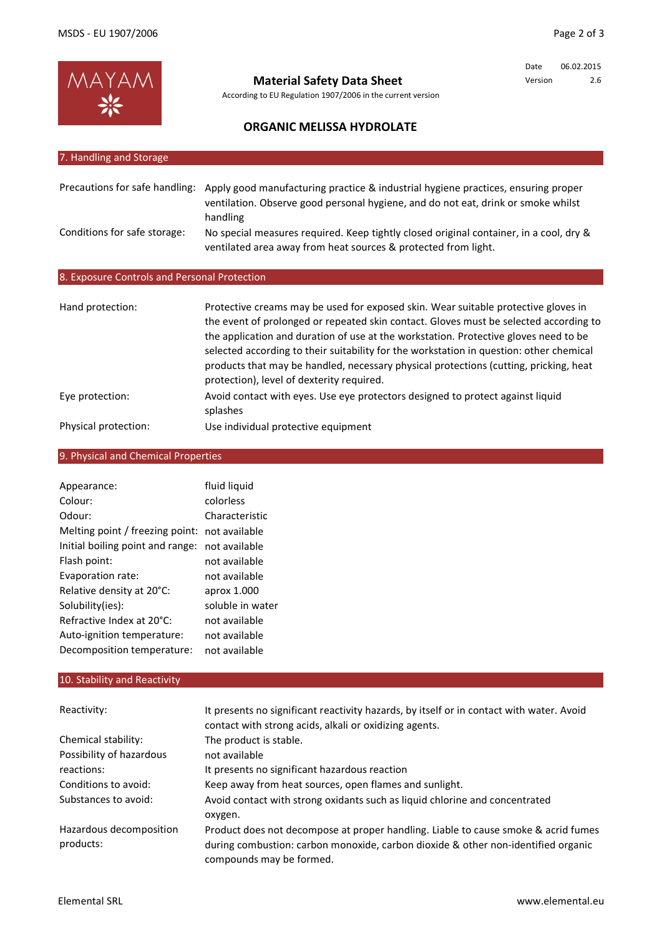

**Material Safety Data Sheet**

According to EU Regulation 1907/2006 in the current version

Date 06.02.2015 Version 2.6

# **ORGANIC MELISSA HYDROLATE**

| 7. Handling and Storage                      |                                                                                                                                                                                                                                                                                                                                                                                                                                                         |
|----------------------------------------------|---------------------------------------------------------------------------------------------------------------------------------------------------------------------------------------------------------------------------------------------------------------------------------------------------------------------------------------------------------------------------------------------------------------------------------------------------------|
|                                              |                                                                                                                                                                                                                                                                                                                                                                                                                                                         |
| Precautions for safe handling:               | Apply good manufacturing practice & industrial hygiene practices, ensuring proper<br>ventilation. Observe good personal hygiene, and do not eat, drink or smoke whilst<br>handling                                                                                                                                                                                                                                                                      |
| Conditions for safe storage:                 | No special measures required. Keep tightly closed original container, in a cool, dry &<br>ventilated area away from heat sources & protected from light.                                                                                                                                                                                                                                                                                                |
| 8. Exposure Controls and Personal Protection |                                                                                                                                                                                                                                                                                                                                                                                                                                                         |
|                                              |                                                                                                                                                                                                                                                                                                                                                                                                                                                         |
| Hand protection:                             | Protective creams may be used for exposed skin. Wear suitable protective gloves in<br>the event of prolonged or repeated skin contact. Gloves must be selected according to<br>the application and duration of use at the workstation. Protective gloves need to be<br>selected according to their suitability for the workstation in question: other chemical<br>products that may be handled, necessary physical protections (cutting, pricking, heat |

Eye protection: protection), level of dexterity required. Avoid contact with eyes. Use eye protectors designed to protect against liquid splashes

Physical protection: Use individual protective equipment

# 9. Physical and Chemical Properties

| Appearance:                      | fluid liguid     |
|----------------------------------|------------------|
| Colour:                          | colorless        |
| Odour:                           | Characteristic   |
| Melting point / freezing point:  | not available    |
| Initial boiling point and range: | not available    |
| Flash point:                     | not available    |
| Evaporation rate:                | not available    |
| Relative density at 20°C:        | aprox 1.000      |
| Solubility(ies):                 | soluble in water |
| Refractive Index at 20°C:        | not available    |
| Auto-ignition temperature:       | not available    |
| Decomposition temperature:       | not available    |

## 10. Stability and Reactivity

| Reactivity:              | It presents no significant reactivity hazards, by itself or in contact with water. Avoid<br>contact with strong acids, alkali or oxidizing agents. |
|--------------------------|----------------------------------------------------------------------------------------------------------------------------------------------------|
| Chemical stability:      | The product is stable.                                                                                                                             |
| Possibility of hazardous | not available                                                                                                                                      |
| reactions:               | It presents no significant hazardous reaction                                                                                                      |
| Conditions to avoid:     | Keep away from heat sources, open flames and sunlight.                                                                                             |
| Substances to avoid:     | Avoid contact with strong oxidants such as liquid chlorine and concentrated<br>oxygen.                                                             |
| Hazardous decomposition  | Product does not decompose at proper handling. Liable to cause smoke & acrid fumes                                                                 |
| products:                | during combustion: carbon monoxide, carbon dioxide & other non-identified organic<br>compounds may be formed.                                      |